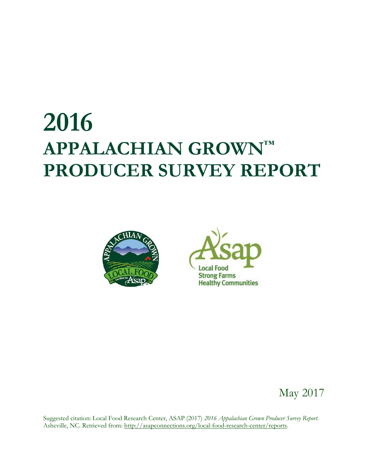# **2016 APPALACHIAN GROWN™ PRODUCER SURVEY REPORT**





### May 2017

Suggested citation: Local Food Research Center, ASAP (2017) *2016 Appalachian Grown Producer Survey Report*. Asheville, NC. Retrieved from: [http://asapconnections.org/local-food-research-center/reports.](http://asapconnections.org/local-food-research-center/reports)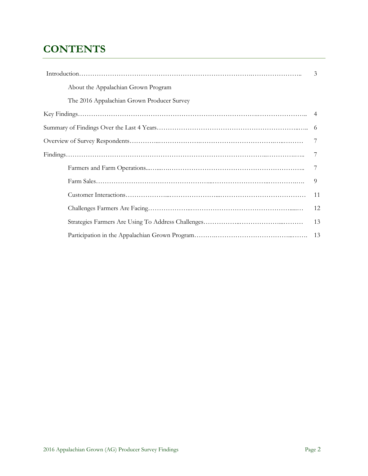### **CONTENTS**

|                                            | 3  |
|--------------------------------------------|----|
| About the Appalachian Grown Program        |    |
| The 2016 Appalachian Grown Producer Survey |    |
|                                            |    |
|                                            | -6 |
|                                            |    |
|                                            |    |
|                                            |    |
|                                            | 9  |
|                                            | 11 |
|                                            | 12 |
|                                            | 13 |
|                                            |    |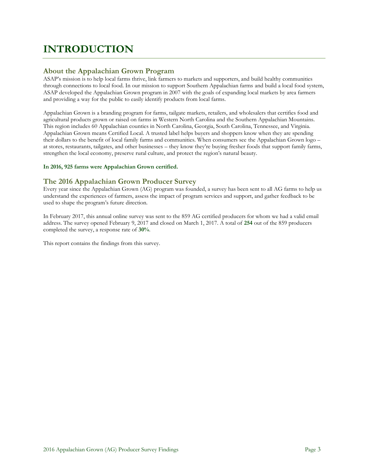### **INTRODUCTION**

#### **About the Appalachian Grown Program**

ASAP's mission is to help local farms thrive, link farmers to markets and supporters, and build healthy communities through connections to local food. In our mission to support Southern Appalachian farms and build a local food system, ASAP developed the Appalachian Grown program in 2007 with the goals of expanding local markets by area farmers and providing a way for the public to easily identify products from local farms.

Appalachian Grown is a branding program for farms, tailgate markets, retailers, and wholesalers that certifies food and agricultural products grown or raised on farms in Western North Carolina and the Southern Appalachian Mountains. This region includes 60 Appalachian counties in North Carolina, Georgia, South Carolina, Tennessee, and Virginia. Appalachian Grown means Certified Local. A trusted label helps buyers and shoppers know when they are spending their dollars to the benefit of local family farms and communities. When consumers see the Appalachian Grown logo – at stores, restaurants, tailgates, and other businesses – they know they're buying fresher foods that support family farms, strengthen the local economy, preserve rural culture, and protect the region's natural beauty.

#### **In 2016, 925 farms were Appalachian Grown certified.**

#### **The 2016 Appalachian Grown Producer Survey**

Every year since the Appalachian Grown (AG) program was founded, a survey has been sent to all AG farms to help us understand the experiences of farmers, assess the impact of program services and support, and gather feedback to be used to shape the program's future direction.

In February 2017, this annual online survey was sent to the 859 AG certified producers for whom we had a valid email address. The survey opened February 9, 2017 and closed on March 1, 2017. A total of **254** out of the 859 producers completed the survey, a response rate of **30%**.

This report contains the findings from this survey.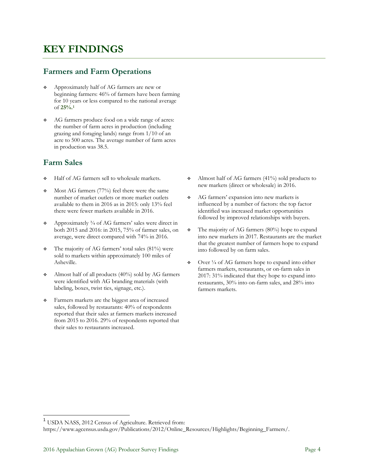### **KEY FINDINGS**

### **Farmers and Farm Operations**

- Approximately half of AG farmers are new or beginning farmers: 46% of farmers have been farming for 10 years or less compared to the national average of **25%.<sup>1</sup>**
- AG farmers produce food on a wide range of acres: the number of farm acres in production (including grazing and foraging lands) range from 1/10 of an acre to 500 acres. The average number of farm acres in production was 38.5.

### **Farm Sales**

- Half of AG farmers sell to wholesale markets.
- Most AG farmers (77%) feel there were the same number of market outlets or more market outlets available to them in 2016 as in 2015: only 13% feel there were fewer markets available in 2016.
- Approximately ¾ of AG farmers' sales were direct in both 2015 and 2016: in 2015, 75% of farmer sales, on average, were direct compared with 74% in 2016.
- $\div$  The majority of AG farmers' total sales (81%) were sold to markets within approximately 100 miles of Asheville.
- Almost half of all products (40%) sold by AG farmers were identified with AG branding materials (with labeling, boxes, twist ties, signage, etc.).
- Farmers markets are the biggest area of increased sales, followed by restaurants: 40% of respondents reported that their sales at farmers markets increased from 2015 to 2016. 29% of respondents reported that their sales to restaurants increased.
- Almost half of AG farmers (41%) sold products to new markets (direct or wholesale) in 2016.
- AG farmers' expansion into new markets is influenced by a number of factors: the top factor identified was increased market opportunities followed by improved relationships with buyers.
- $\div$  The majority of AG farmers (80%) hope to expand into new markets in 2017. Restaurants are the market that the greatest number of farmers hope to expand into followed by on farm sales.
- $\div$  Over  $\frac{1}{4}$  of AG farmers hope to expand into either farmers markets, restaurants, or on-farm sales in 2017: 31% indicated that they hope to expand into restaurants, 30% into on-farm sales, and 28% into farmers markets.

<sup>&</sup>lt;sup>1</sup> USDA NASS, 2012 Census of Agriculture. Retrieved from:

https://www.agcensus.usda.gov/Publications/2012/Online\_Resources/Highlights/Beginning\_Farmers/.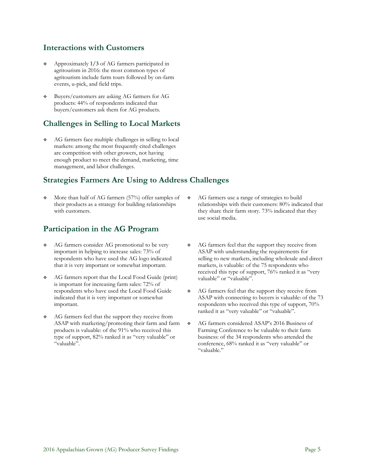### **Interactions with Customers**

- Approximately **1/3** of AG farmers participated in agritourism in 2016: the most common types of agritourism include farm tours followed by on-farm events, u-pick, and field trips.
- Buyers/customers are asking AG farmers for AG products: 44% of respondents indicated that buyers/customers ask them for AG products.

### **Challenges in Selling to Local Markets**

 AG farmers face multiple challenges in selling to local markets: among the most frequently cited challenges are competition with other growers, not having enough product to meet the demand, marketing, time management, and labor challenges.

### **Strategies Farmers Are Using to Address Challenges**

 More than half of AG farmers (57%) offer samples of their products as a strategy for building relationships with customers.

### **Participation in the AG Program**

- AG farmers consider AG promotional to be very important in helping to increase sales: 73% of respondents who have used the AG logo indicated that it is very important or somewhat important.
- AG farmers report that the Local Food Guide (print) is important for increasing farm sales: 72% of respondents who have used the Local Food Guide indicated that it is very important or somewhat important.
- AG farmers feel that the support they receive from ASAP with marketing/promoting their farm and farm products is valuable: of the 91% who received this type of support, 82% ranked it as "very valuable" or "valuable".
- AG farmers use a range of strategies to build relationships with their customers: 80% indicated that they share their farm story. 73% indicated that they use social media.
- AG farmers feel that the support they receive from ASAP with understanding the requirements for selling to new markets, including wholesale and direct markets, is valuable: of the 75 respondents who received this type of support, 76% ranked it as "very valuable" or "valuable".
- AG farmers feel that the support they receive from ASAP with connecting to buyers is valuable: of the 73 respondents who received this type of support, 70% ranked it as "very valuable" or "valuable".
- AG farmers considered ASAP's 2016 Business of Farming Conference to be valuable to their farm business: of the 34 respondents who attended the conference, 68% ranked it as "very valuable" or "valuable."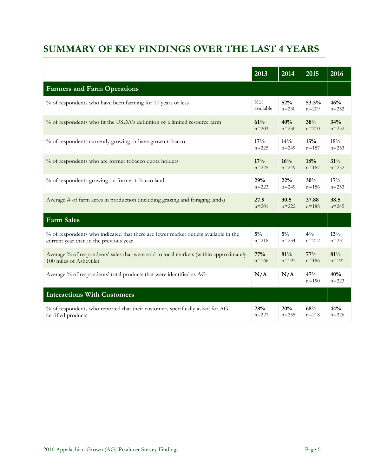### **SUMMARY OF KEY FINDINGS OVER THE LAST 4 YEARS**

|                                                                                       | $20\overline{13}$ | $20\overline{14}$ | $20\overline{15}$ | 2016             |
|---------------------------------------------------------------------------------------|-------------------|-------------------|-------------------|------------------|
| <b>Farmers and Farm Operations</b>                                                    |                   |                   |                   |                  |
| % of respondents who have been farming for 10 years or less                           | <b>Not</b>        | 52%               | 53.5%             | 46%              |
|                                                                                       | available         | $n = 230$         | $n = 209$         | $n = 252$        |
| % of respondents who fit the USDA's definition of a limited resource farm             | 61%               | 40%               | 38%               | 34%              |
|                                                                                       | $n = 203$         | $n = 230$         | $n = 210$         | $n = 252$        |
| % of respondents currently growing or have grown tobacco                              | 17%               | 14%               | 15%               | 15%              |
|                                                                                       | $n = 225$         | $n = 249$         | $n = 187$         | $n = 253$        |
| % of respondents who are former tobacco quota holders                                 | 17%               | 16%               | 18%               | 31%              |
|                                                                                       | $n = 225$         | $n = 249$         | $n = 187$         | $n = 252$        |
| % of respondents growing on former tobacco land                                       | 29%               | 22%               | 30%               | 17%              |
|                                                                                       | $n = 223$         | $n = 249$         | $n = 186$         | $n = 253$        |
| Average # of farm acres in production (including grazing and foraging lands)          | 27.9              | 30.5              | 37.88             | 38.5             |
|                                                                                       | $n = 201$         | $n = 222$         | $n = 188$         | $n = 245$        |
| <b>Farm Sales</b>                                                                     |                   |                   |                   |                  |
| % of respondents who indicated that there are fewer market outlets available in the   | $5\%$             | $5\%$             | $4\frac{0}{0}$    | 13%              |
| current year than in the previous year                                                | $n = 218$         | $n = 234$         | $n = 212$         | $n = 231$        |
| Average % of respondents' sales that were sold to local markets (within approximately | $77\%$            | 81%               | 77%               | 81%              |
| 100 miles of Asheville)                                                               | $n = 166$         | $n = 191$         | $n = 186$         | $n = 191$        |
| Average % of respondents' total products that were identified as AG                   | N/A               | N/A               | 47%<br>$n = 190$  | 40%<br>$n = 223$ |
| <b>Interactions With Customers</b>                                                    |                   |                   |                   |                  |
| % of respondents who reported that their customers specifically asked for AG          | 28%               | 20%               | 68%               | 44%              |
| certified products                                                                    | $n = 227$         | $n = 255$         | $n = 218$         | $n = 226$        |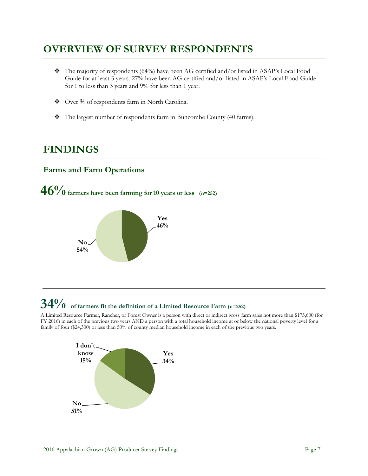### **OVERVIEW OF SURVEY RESPONDENTS**

- $\bullet$  The majority of respondents (64%) have been AG certified and/or listed in ASAP's Local Food Guide for at least 3 years. 27% have been AG certified and/or listed in ASAP's Local Food Guide for 1 to less than 3 years and 9% for less than 1 year.
- Over ¾ of respondents farm in North Carolina.
- \* The largest number of respondents farm in Buncombe County (40 farms).

### **FINDINGS**

### **Farms and Farm Operations**





# **34% of farmers fit the definition of a Limited Resource Farm (n=252)**

A Limited Resource Farmer, Rancher, or Forest Owner is a person with direct or indirect gross farm sales not more than \$173,600 (for FY 2016) in each of the previous two years AND a person with a total household income at or below the national poverty level for a family of four (\$24,300) or less than 50% of county median household income in each of the previous two years.

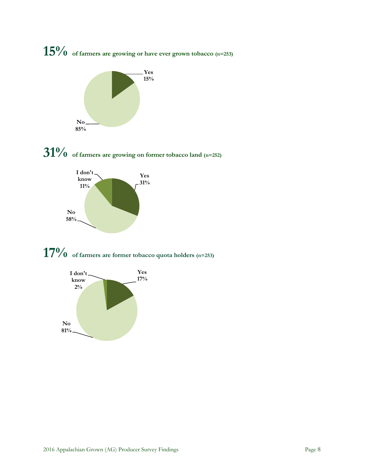









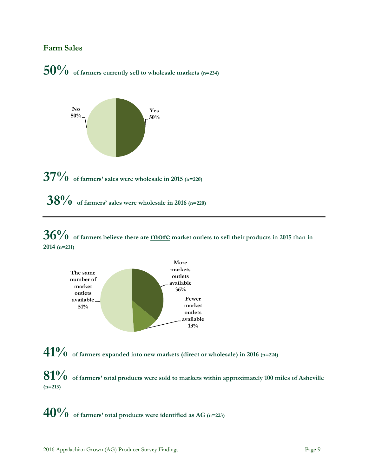#### **Farm Sales**





**38% of farmers' sales were wholesale in 201<sup>6</sup> (n=220)**

**36% of farmers believe there are more market outlets to sell their products in 2015 than in 2014 (n=231)**



**41% of farmers expanded into new markets (direct or wholesale) in 2016 (n=224)**

**81% of farmers' total products were sold to markets within approximately 100 miles of Asheville (n=213)**

**40% of farmers' total products were identified as AG (n=223)**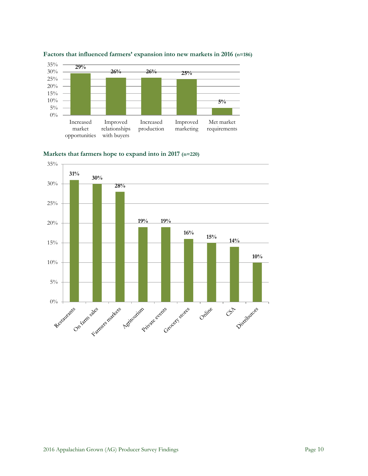

#### **Factors that influenced farmers' expansion into new markets in 2016 (n=186)**



**Markets that farmers hope to expand into in 2017 (n=220)**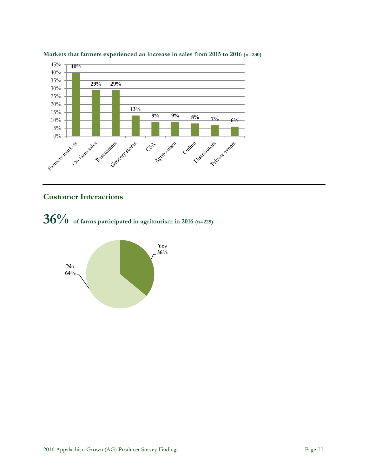



### **Customer Interactions**



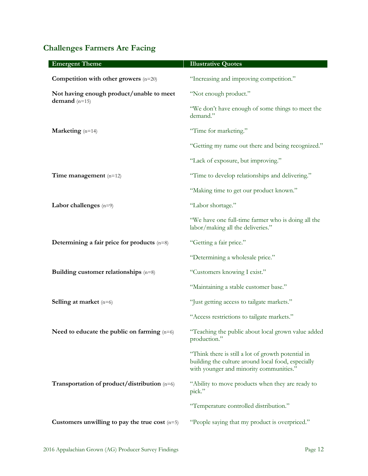### **Challenges Farmers Are Facing**

| <b>Emergent Theme</b>                            | <b>Illustrative Quotes</b>                                                                                                                          |
|--------------------------------------------------|-----------------------------------------------------------------------------------------------------------------------------------------------------|
| Competition with other growers $(n=20)$          | "Increasing and improving competition."                                                                                                             |
| Not having enough product/unable to meet         | "Not enough product."                                                                                                                               |
| demand $(n=15)$                                  | "We don't have enough of some things to meet the<br>demand."                                                                                        |
| Marketing $(n=14)$                               | "Time for marketing."                                                                                                                               |
|                                                  | "Getting my name out there and being recognized."                                                                                                   |
|                                                  | "Lack of exposure, but improving."                                                                                                                  |
| Time management $(n=12)$                         | "Time to develop relationships and delivering."                                                                                                     |
|                                                  | "Making time to get our product known."                                                                                                             |
| Labor challenges $(n=9)$                         | "Labor shortage."                                                                                                                                   |
|                                                  | "We have one full-time farmer who is doing all the<br>labor/making all the deliveries."                                                             |
| Determining a fair price for products $(n=8)$    | "Getting a fair price."                                                                                                                             |
|                                                  | "Determining a wholesale price."                                                                                                                    |
| Building customer relationships $(n=8)$          | "Customers knowing I exist."                                                                                                                        |
|                                                  | "Maintaining a stable customer base."                                                                                                               |
| <b>Selling at market</b> $(n=6)$                 | "Just getting access to tailgate markets."                                                                                                          |
|                                                  | "Access restrictions to tailgate markets."                                                                                                          |
| Need to educate the public on farming $(n=6)$    | "Teaching the public about local grown value added<br>production."                                                                                  |
|                                                  | "Think there is still a lot of growth potential in<br>building the culture around local food, especially<br>with younger and minority communities." |
| Transportation of product/distribution (n=6)     | "Ability to move products when they are ready to<br>pick."                                                                                          |
|                                                  | "Temperature controlled distribution."                                                                                                              |
| Customers unwilling to pay the true cost $(n=5)$ | "People saying that my product is overpriced."                                                                                                      |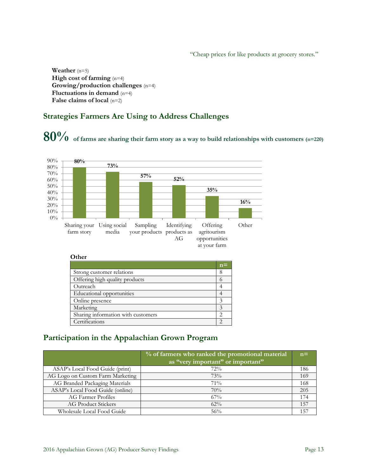"Cheap prices for like products at grocery stores."

**Weather** (n=5) **High cost of farming** (n=4) **Growing/production challenges** (n=4) **Fluctuations in demand** (n=4) **False claims of local** (n=2)

### **Strategies Farmers Are Using to Address Challenges**

# **80% of farms are sharing their farm story as a way to build relationships with customers (n=220)**



#### **Other**

|                                    | $n =$ |
|------------------------------------|-------|
| Strong customer relations          | 8     |
| Offering high quality products     |       |
| Outreach                           |       |
| Educational opportunities          |       |
| Online presence                    |       |
| Marketing                          |       |
| Sharing information with customers | っ     |
| Certifications                     |       |

### **Participation in the Appalachian Grown Program**

|                                  | % of farmers who ranked the promotional material | $n =$ |
|----------------------------------|--------------------------------------------------|-------|
|                                  | as "very important" or important"                |       |
| ASAP's Local Food Guide (print)  | 72%                                              | 186   |
| AG Logo on Custom Farm Marketing | 73%                                              | 169   |
| AG Branded Packaging Materials   | 71%                                              | 168   |
| ASAP's Local Food Guide (online) | 70%                                              | 205   |
| AG Farmer Profiles               | $67\%$                                           | 174   |
| <b>AG Product Stickers</b>       | $62\%$                                           | 157   |
| Wholesale Local Food Guide       | 56%                                              | 157   |